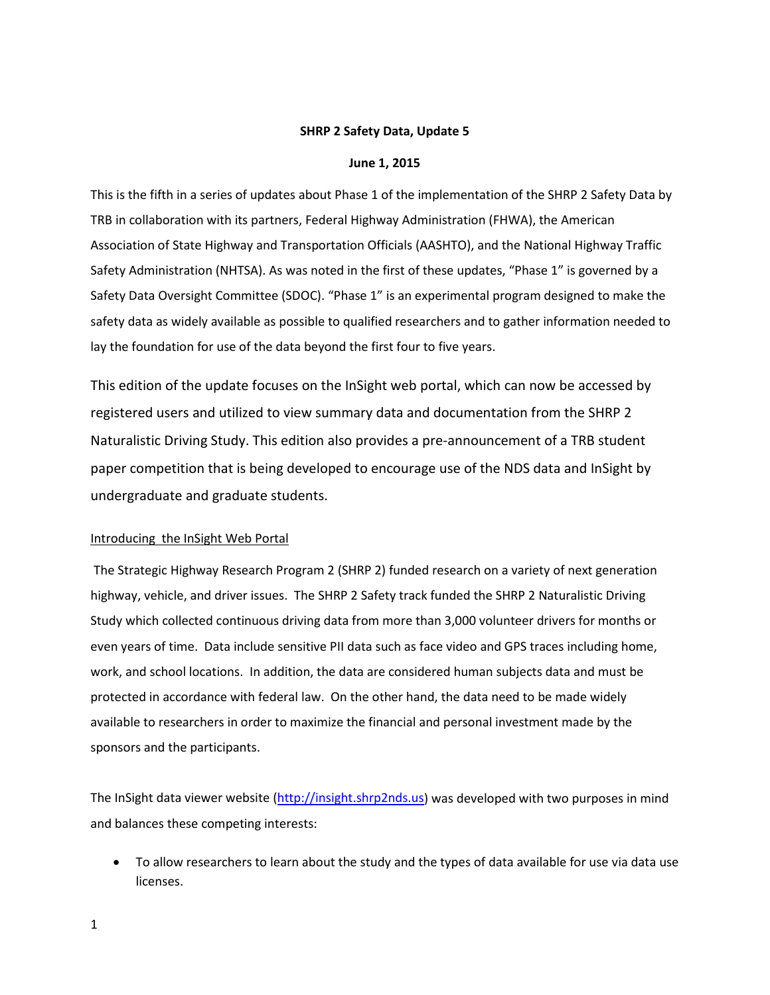## **SHRP 2 Safety Data, Update 5**

#### **June 1, 2015**

This is the fifth in a series of updates about Phase 1 of the implementation of the SHRP 2 Safety Data by TRB in collaboration with its partners, Federal Highway Administration (FHWA), the American Association of State Highway and Transportation Officials (AASHTO), and the National Highway Traffic Safety Administration (NHTSA). As was noted in the first of these updates, "Phase 1" is governed by a Safety Data Oversight Committee (SDOC). "Phase 1" is an experimental program designed to make the safety data as widely available as possible to qualified researchers and to gather information needed to lay the foundation for use of the data beyond the first four to five years.

This edition of the update focuses on the InSight web portal, which can now be accessed by registered users and utilized to view summary data and documentation from the SHRP 2 Naturalistic Driving Study. This edition also provides a pre-announcement of a TRB student paper competition that is being developed to encourage use of the NDS data and InSight by undergraduate and graduate students.

# Introducing the InSight Web Portal

The Strategic Highway Research Program 2 (SHRP 2) funded research on a variety of next generation highway, vehicle, and driver issues. The SHRP 2 Safety track funded the SHRP 2 Naturalistic Driving Study which collected continuous driving data from more than 3,000 volunteer drivers for months or even years of time. Data include sensitive PII data such as face video and GPS traces including home, work, and school locations. In addition, the data are considered human subjects data and must be protected in accordance with federal law. On the other hand, the data need to be made widely available to researchers in order to maximize the financial and personal investment made by the sponsors and the participants.

The InSight data viewer website [\(http://insight.shrp2nds.us\)](http://insight.shrp2nds.us/) was developed with two purposes in mind and balances these competing interests:

• To allow researchers to learn about the study and the types of data available for use via data use licenses.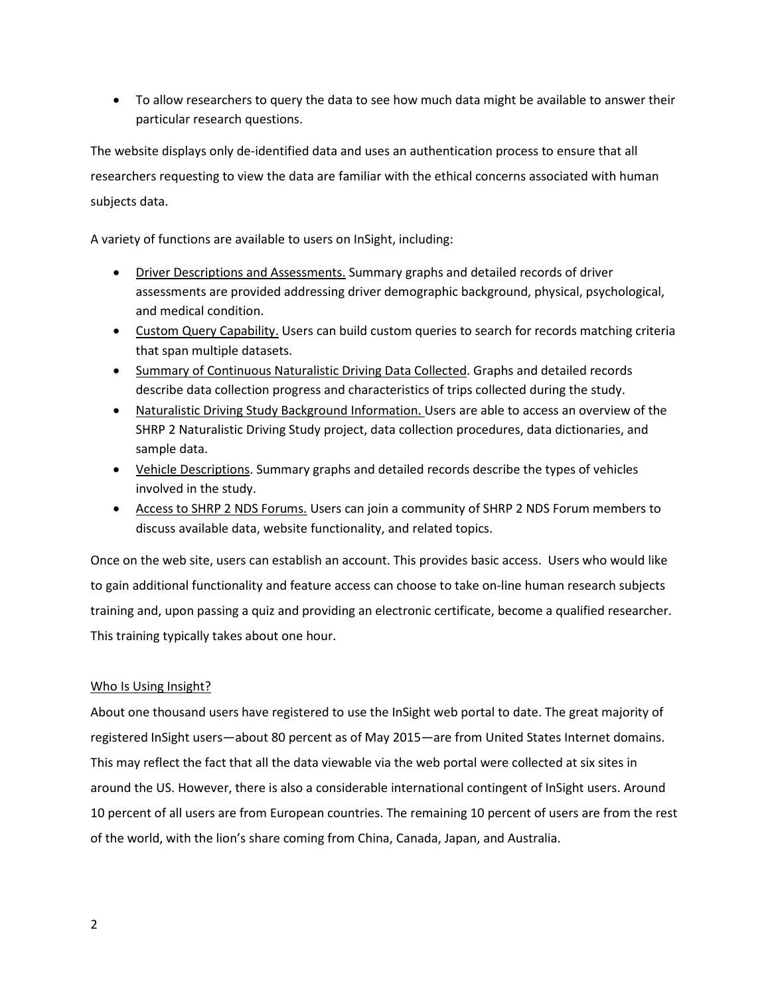• To allow researchers to query the data to see how much data might be available to answer their particular research questions.

The website displays only de-identified data and uses an authentication process to ensure that all researchers requesting to view the data are familiar with the ethical concerns associated with human subjects data.

A variety of functions are available to users on InSight, including:

- Driver Descriptions and Assessments. Summary graphs and detailed records of driver assessments are provided addressing driver demographic background, physical, psychological, and medical condition.
- Custom Query Capability. Users can build custom queries to search for records matching criteria that span multiple datasets.
- Summary of Continuous Naturalistic Driving Data Collected. Graphs and detailed records describe data collection progress and characteristics of trips collected during the study.
- Naturalistic Driving Study Background Information. Users are able to access an overview of the SHRP 2 Naturalistic Driving Study project, data collection procedures, data dictionaries, and sample data.
- Vehicle Descriptions. Summary graphs and detailed records describe the types of vehicles involved in the study.
- Access to SHRP 2 NDS Forums. Users can join a community of SHRP 2 NDS Forum members to discuss available data, website functionality, and related topics.

Once on the web site, users can establish an account. This provides basic access. Users who would like to gain additional functionality and feature access can choose to take on-line human research subjects training and, upon passing a quiz and providing an electronic certificate, become a qualified researcher. This training typically takes about one hour.

# Who Is Using Insight?

About one thousand users have registered to use the InSight web portal to date. The great majority of registered InSight users—about 80 percent as of May 2015—are from United States Internet domains. This may reflect the fact that all the data viewable via the web portal were collected at six sites in around the US. However, there is also a considerable international contingent of InSight users. Around 10 percent of all users are from European countries. The remaining 10 percent of users are from the rest of the world, with the lion's share coming from China, Canada, Japan, and Australia.